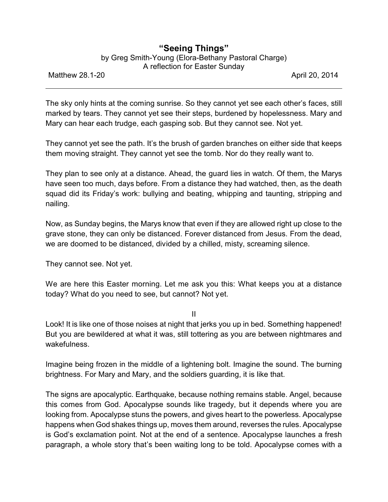## **"Seeing Things"**

by Greg Smith-Young (Elora-Bethany Pastoral Charge)

A reflection for Easter Sunday

Matthew 28.1-20 **April 20, 2014** 

The sky only hints at the coming sunrise. So they cannot yet see each other's faces, still marked by tears. They cannot yet see their steps, burdened by hopelessness. Mary and Mary can hear each trudge, each gasping sob. But they cannot see. Not yet.

They cannot yet see the path. It's the brush of garden branches on either side that keeps them moving straight. They cannot yet see the tomb. Nor do they really want to.

They plan to see only at a distance. Ahead, the guard lies in watch. Of them, the Marys have seen too much, days before. From a distance they had watched, then, as the death squad did its Friday's work: bullying and beating, whipping and taunting, stripping and nailing.

Now, as Sunday begins, the Marys know that even if they are allowed right up close to the grave stone, they can only be distanced. Forever distanced from Jesus. From the dead, we are doomed to be distanced, divided by a chilled, misty, screaming silence.

They cannot see. Not yet.

We are here this Easter morning. Let me ask you this: What keeps you at a distance today? What do you need to see, but cannot? Not yet.

II

Look! It is like one of those noises at night that jerks you up in bed. Something happened! But you are bewildered at what it was, still tottering as you are between nightmares and wakefulness.

Imagine being frozen in the middle of a lightening bolt. Imagine the sound. The burning brightness. For Mary and Mary, and the soldiers guarding, it is like that.

The signs are apocalyptic. Earthquake, because nothing remains stable. Angel, because this comes from God. Apocalypse sounds like tragedy, but it depends where you are looking from. Apocalypse stuns the powers, and gives heart to the powerless. Apocalypse happens when God shakes things up, moves them around, reverses the rules. Apocalypse is God's exclamation point. Not at the end of a sentence. Apocalypse launches a fresh paragraph, a whole story that's been waiting long to be told. Apocalypse comes with a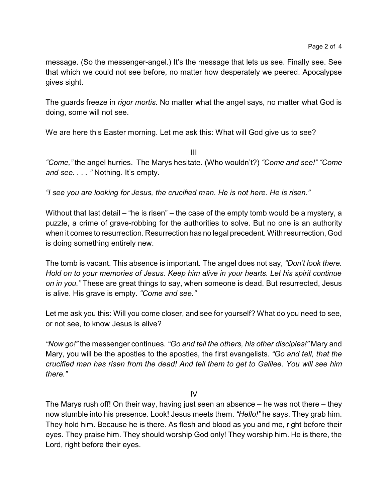message. (So the messenger-angel.) It's the message that lets us see. Finally see. See that which we could not see before, no matter how desperately we peered. Apocalypse gives sight.

The guards freeze in *rigor mortis*. No matter what the angel says, no matter what God is doing, some will not see.

We are here this Easter morning. Let me ask this: What will God give us to see?

III

*"Come,"* the angel hurries. The Marys hesitate. (Who wouldn't?) *"Come and see!" "Come and see. . . . "* Nothing. It's empty.

*"I see you are looking for Jesus, the crucified man. He is not here. He is risen."*

Without that last detail – "he is risen" – the case of the empty tomb would be a mystery, a puzzle, a crime of grave-robbing for the authorities to solve. But no one is an authority when it comes to resurrection. Resurrection has no legal precedent. With resurrection, God is doing something entirely new.

The tomb is vacant. This absence is important. The angel does not say, *"Don't look there. Hold on to your memories of Jesus. Keep him alive in your hearts. Let his spirit continue on in you."* These are great things to say, when someone is dead. But resurrected, Jesus is alive. His grave is empty. *"Come and see."*

Let me ask you this: Will you come closer, and see for yourself? What do you need to see, or not see, to know Jesus is alive?

*"Now go!"* the messenger continues. *"Go and tell the others, his other disciples!"* Mary and Mary, you will be the apostles to the apostles, the first evangelists. *"Go and tell, that the crucified man has risen from the dead! And tell them to get to Galilee. You will see him there."*

IV

The Marys rush off! On their way, having just seen an absence – he was not there – they now stumble into his presence. Look! Jesus meets them. *"Hello!"* he says. They grab him. They hold him. Because he is there. As flesh and blood as you and me, right before their eyes. They praise him. They should worship God only! They worship him. He is there, the Lord, right before their eyes.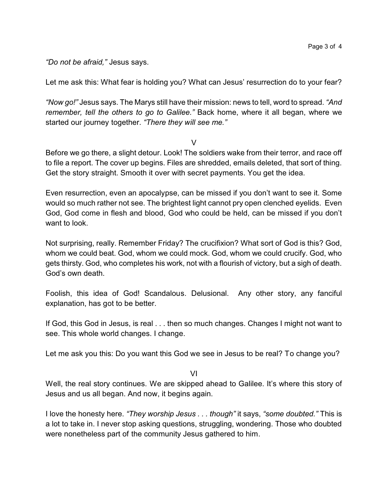*"Do not be afraid,"* Jesus says.

Let me ask this: What fear is holding you? What can Jesus' resurrection do to your fear?

*"Now go!"* Jesus says. The Marys still have their mission: news to tell, word to spread. *"And remember, tell the others to go to Galilee."* Back home, where it all began, where we started our journey together. *"There they will see me."*

V

Before we go there, a slight detour. Look! The soldiers wake from their terror, and race off to file a report. The cover up begins. Files are shredded, emails deleted, that sort of thing. Get the story straight. Smooth it over with secret payments. You get the idea.

Even resurrection, even an apocalypse, can be missed if you don't want to see it. Some would so much rather not see. The brightest light cannot pry open clenched eyelids. Even God, God come in flesh and blood, God who could be held, can be missed if you don't want to look.

Not surprising, really. Remember Friday? The crucifixion? What sort of God is this? God, whom we could beat. God, whom we could mock. God, whom we could crucify. God, who gets thirsty. God, who completes his work, not with a flourish of victory, but a sigh of death. God's own death.

Foolish, this idea of God! Scandalous. Delusional. Any other story, any fanciful explanation, has got to be better.

If God, this God in Jesus, is real . . . then so much changes. Changes I might not want to see. This whole world changes. I change.

Let me ask you this: Do you want this God we see in Jesus to be real? To change you?

VI

Well, the real story continues. We are skipped ahead to Galilee. It's where this story of Jesus and us all began. And now, it begins again.

I love the honesty here. *"They worship Jesus . . . though"* it says, *"some doubted."* This is a lot to take in. I never stop asking questions, struggling, wondering. Those who doubted were nonetheless part of the community Jesus gathered to him.